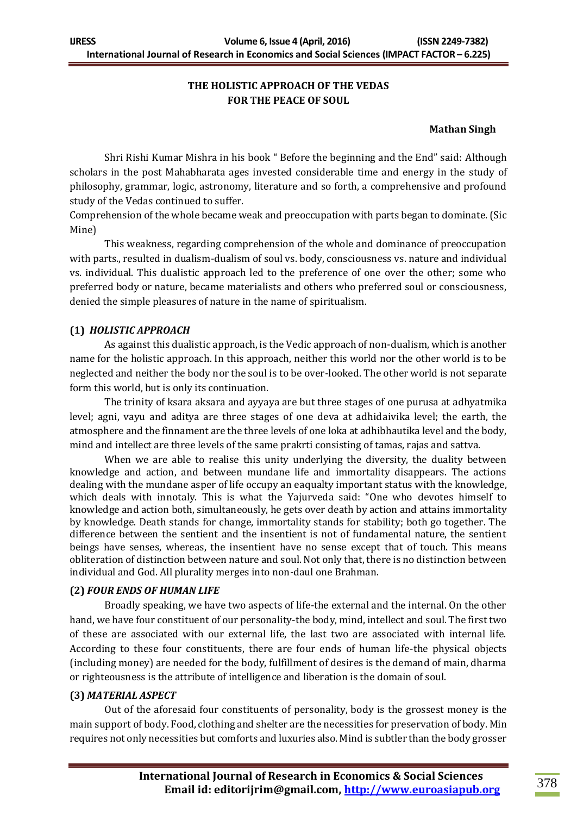# **THE HOLISTIC APPROACH OF THE VEDAS FOR THE PEACE OF SOUL**

#### **Mathan Singh**

Shri Rishi Kumar Mishra in his book " Before the beginning and the End" said: Although scholars in the post Mahabharata ages invested considerable time and energy in the study of philosophy, grammar, logic, astronomy, literature and so forth, a comprehensive and profound study of the Vedas continued to suffer.

Comprehension of the whole became weak and preoccupation with parts began to dominate. (Sic Mine)

This weakness, regarding comprehension of the whole and dominance of preoccupation with parts., resulted in dualism-dualism of soul vs. body, consciousness vs. nature and individual vs. individual. This dualistic approach led to the preference of one over the other; some who preferred body or nature, became materialists and others who preferred soul or consciousness, denied the simple pleasures of nature in the name of spiritualism.

### **(1)** *HOLISTIC APPROACH*

As against this dualistic approach, is the Vedic approach of non-dualism, which is another name for the holistic approach. In this approach, neither this world nor the other world is to be neglected and neither the body nor the soul is to be over-looked. The other world is not separate form this world, but is only its continuation.

The trinity of ksara aksara and ayyaya are but three stages of one purusa at adhyatmika level; agni, vayu and aditya are three stages of one deva at adhidaivika level; the earth, the atmosphere and the finnament are the three levels of one loka at adhibhautika level and the body, mind and intellect are three levels of the same prakrti consisting of tamas, rajas and sattva.

When we are able to realise this unity underlying the diversity, the duality between knowledge and action, and between mundane life and immortality disappears. The actions dealing with the mundane asper of life occupy an eaqualty important status with the knowledge, which deals with innotaly. This is what the Yajurveda said: "One who devotes himself to knowledge and action both, simultaneously, he gets over death by action and attains immortality by knowledge. Death stands for change, immortality stands for stability; both go together. The difference between the sentient and the insentient is not of fundamental nature, the sentient beings have senses, whereas, the insentient have no sense except that of touch. This means obliteration of distinction between nature and soul. Not only that, there is no distinction between individual and God. All plurality merges into non-daul one Brahman.

#### **(2)** *FOUR ENDS OF HUMAN LIFE*

Broadly speaking, we have two aspects of life-the external and the internal. On the other hand, we have four constituent of our personality-the body, mind, intellect and soul. The first two of these are associated with our external life, the last two are associated with internal life. According to these four constituents, there are four ends of human life-the physical objects (including money) are needed for the body, fulfillment of desires is the demand of main, dharma or righteousness is the attribute of intelligence and liberation is the domain of soul.

#### **(3)** *MATERIAL ASPECT*

Out of the aforesaid four constituents of personality, body is the grossest money is the main support of body. Food, clothing and shelter are the necessities for preservation of body. Min requires not only necessities but comforts and luxuries also. Mind is subtler than the body grosser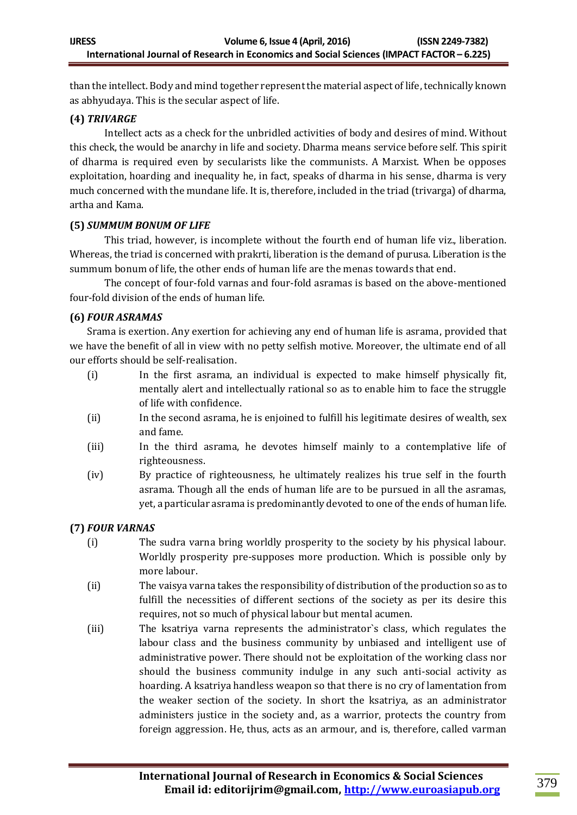than the intellect. Body and mind together represent the material aspect of life, technically known as abhyudaya. This is the secular aspect of life.

## **(4)** *TRIVARGE*

Intellect acts as a check for the unbridled activities of body and desires of mind. Without this check, the would be anarchy in life and society. Dharma means service before self. This spirit of dharma is required even by secularists like the communists. A Marxist. When be opposes exploitation, hoarding and inequality he, in fact, speaks of dharma in his sense, dharma is very much concerned with the mundane life. It is, therefore, included in the triad (trivarga) of dharma, artha and Kama.

### **(5)** *SUMMUM BONUM OF LIFE*

This triad, however, is incomplete without the fourth end of human life viz., liberation. Whereas, the triad is concerned with prakrti, liberation is the demand of purusa. Liberation is the summum bonum of life, the other ends of human life are the menas towards that end.

The concept of four-fold varnas and four-fold asramas is based on the above-mentioned four-fold division of the ends of human life.

### **(6)** *FOUR ASRAMAS*

Srama is exertion. Any exertion for achieving any end of human life is asrama, provided that we have the benefit of all in view with no petty selfish motive. Moreover, the ultimate end of all our efforts should be self-realisation.

- (i) In the first asrama, an individual is expected to make himself physically fit, mentally alert and intellectually rational so as to enable him to face the struggle of life with confidence.
- (ii) In the second asrama, he is enjoined to fulfill his legitimate desires of wealth, sex and fame.
- (iii) In the third asrama, he devotes himself mainly to a contemplative life of righteousness.
- (iv) By practice of righteousness, he ultimately realizes his true self in the fourth asrama. Though all the ends of human life are to be pursued in all the asramas, yet, a particular asrama is predominantly devoted to one of the ends of human life.

## **(7)** *FOUR VARNAS*

- (i) The sudra varna bring worldly prosperity to the society by his physical labour. Worldly prosperity pre-supposes more production. Which is possible only by more labour.
- (ii) The vaisya varna takes the responsibility of distribution of the production so as to fulfill the necessities of different sections of the society as per its desire this requires, not so much of physical labour but mental acumen.
- (iii) The ksatriya varna represents the administrator`s class, which regulates the labour class and the business community by unbiased and intelligent use of administrative power. There should not be exploitation of the working class nor should the business community indulge in any such anti-social activity as hoarding. A ksatriya handless weapon so that there is no cry of lamentation from the weaker section of the society. In short the ksatriya, as an administrator administers justice in the society and, as a warrior, protects the country from foreign aggression. He, thus, acts as an armour, and is, therefore, called varman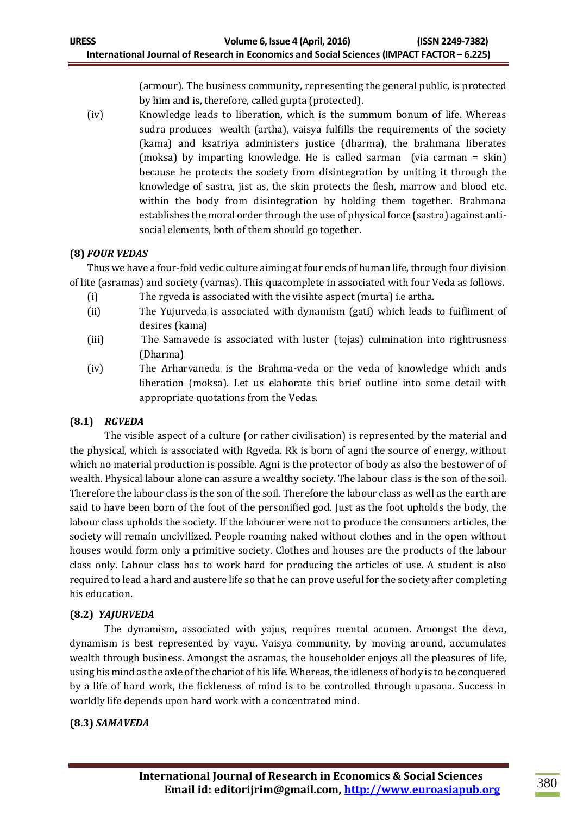(armour). The business community, representing the general public, is protected by him and is, therefore, called gupta (protected).

(iv) Knowledge leads to liberation, which is the summum bonum of life. Whereas sudra produces wealth (artha), vaisya fulfills the requirements of the society (kama) and ksatriya administers justice (dharma), the brahmana liberates (moksa) by imparting knowledge. He is called sarman (via carman = skin) because he protects the society from disintegration by uniting it through the knowledge of sastra, jist as, the skin protects the flesh, marrow and blood etc. within the body from disintegration by holding them together. Brahmana establishes the moral order through the use of physical force (sastra) against antisocial elements, both of them should go together.

## **(8)** *FOUR VEDAS*

Thus we have a four-fold vedic culture aiming at four ends of human life, through four division of lite (asramas) and society (varnas). This quacomplete in associated with four Veda as follows.

- (i) The rgveda is associated with the visihte aspect (murta) i.e artha.
- (ii) The Yujurveda is associated with dynamism (gati) which leads to fuifliment of desires (kama)
- (iii) The Samavede is associated with luster (tejas) culmination into rightrusness (Dharma)
- (iv) The Arharvaneda is the Brahma-veda or the veda of knowledge which ands liberation (moksa). Let us elaborate this brief outline into some detail with appropriate quotations from the Vedas.

# **(8.1)** *RGVEDA*

The visible aspect of a culture (or rather civilisation) is represented by the material and the physical, which is associated with Rgveda. Rk is born of agni the source of energy, without which no material production is possible. Agni is the protector of body as also the bestower of of wealth. Physical labour alone can assure a wealthy society. The labour class is the son of the soil. Therefore the labour class is the son of the soil. Therefore the labour class as well as the earth are said to have been born of the foot of the personified god. Just as the foot upholds the body, the labour class upholds the society. If the labourer were not to produce the consumers articles, the society will remain uncivilized. People roaming naked without clothes and in the open without houses would form only a primitive society. Clothes and houses are the products of the labour class only. Labour class has to work hard for producing the articles of use. A student is also required to lead a hard and austere life so that he can prove useful for the society after completing his education.

# **(8.2)** *YAJURVEDA*

The dynamism, associated with yajus, requires mental acumen. Amongst the deva, dynamism is best represented by vayu. Vaisya community, by moving around, accumulates wealth through business. Amongst the asramas, the householder enjoys all the pleasures of life, using his mind as the axle of the chariot of his life. Whereas, the idleness of body is to be conquered by a life of hard work, the fickleness of mind is to be controlled through upasana. Success in worldly life depends upon hard work with a concentrated mind.

## **(8.3)** *SAMAVEDA*